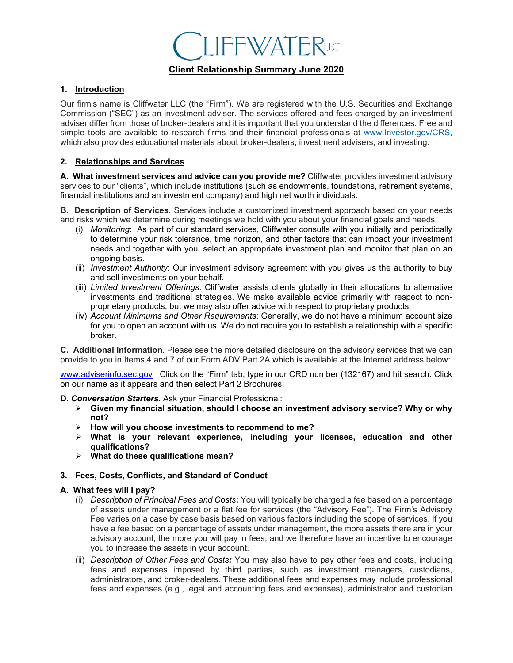# **IFFWATERLIC**

## **Client Relationship Summary June 2020**

## **1. Introduction**

Our firm's name is Cliffwater LLC (the "Firm"). We are registered with the U.S. Securities and Exchange Commission ("SEC") as an investment adviser. The services offered and fees charged by an investment adviser differ from those of broker-dealers and it is important that you understand the differences. Free and simple tools are available to research firms and their financial professionals at www.Investor.gov/CRS, which also provides educational materials about broker-dealers, investment advisers, and investing.

## **2. Relationships and Services**

**A. What investment services and advice can you provide me?** Cliffwater provides investment advisory services to our "clients", which include institutions (such as endowments, foundations, retirement systems, financial institutions and an investment company) and high net worth individuals.

**B. Description of Services**. Services include a customized investment approach based on your needs and risks which we determine during meetings we hold with you about your financial goals and needs.

- (i) *Monitoring*: As part of our standard services, Cliffwater consults with you initially and periodically to determine your risk tolerance, time horizon, and other factors that can impact your investment needs and together with you, select an appropriate investment plan and monitor that plan on an ongoing basis.
- (ii) *Investment Authority*: Our investment advisory agreement with you gives us the authority to buy and sell investments on your behalf.
- (iii) *Limited Investment Offerings*: Cliffwater assists clients globally in their allocations to alternative investments and traditional strategies. We make available advice primarily with respect to nonproprietary products, but we may also offer advice with respect to proprietary products.
- (iv) *Account Minimums and Other Requirements*: Generally, we do not have a minimum account size for you to open an account with us. We do not require you to establish a relationship with a specific broker.

**C. Additional Information**. Please see the more detailed disclosure on the advisory services that we can provide to you in Items 4 and 7 of our Form ADV Part 2A which is available at the Internet address below:

www.adviserinfo.sec.gov Click on the "Firm" tab, type in our CRD number (132167) and hit search. Click on our name as it appears and then select Part 2 Brochures.

- **D.** *Conversation Starters.* Ask your Financial Professional:
	- **Given my financial situation, should I choose an investment advisory service? Why or why not?**
	- **How will you choose investments to recommend to me?**
	- **What is your relevant experience, including your licenses, education and other qualifications?**
	- **What do these qualifications mean?**

## **3. Fees, Costs, Conflicts, and Standard of Conduct**

#### **A. What fees will I pay?**

- (i) *Description of Principal Fees and Costs***:** You will typically be charged a fee based on a percentage of assets under management or a flat fee for services (the "Advisory Fee"). The Firm's Advisory Fee varies on a case by case basis based on various factors including the scope of services. If you have a fee based on a percentage of assets under management, the more assets there are in your advisory account, the more you will pay in fees, and we therefore have an incentive to encourage you to increase the assets in your account.
- (ii) *Description of Other Fees and Costs:* You may also have to pay other fees and costs, including fees and expenses imposed by third parties, such as investment managers, custodians, administrators, and broker-dealers. These additional fees and expenses may include professional fees and expenses (e.g., legal and accounting fees and expenses), administrator and custodian